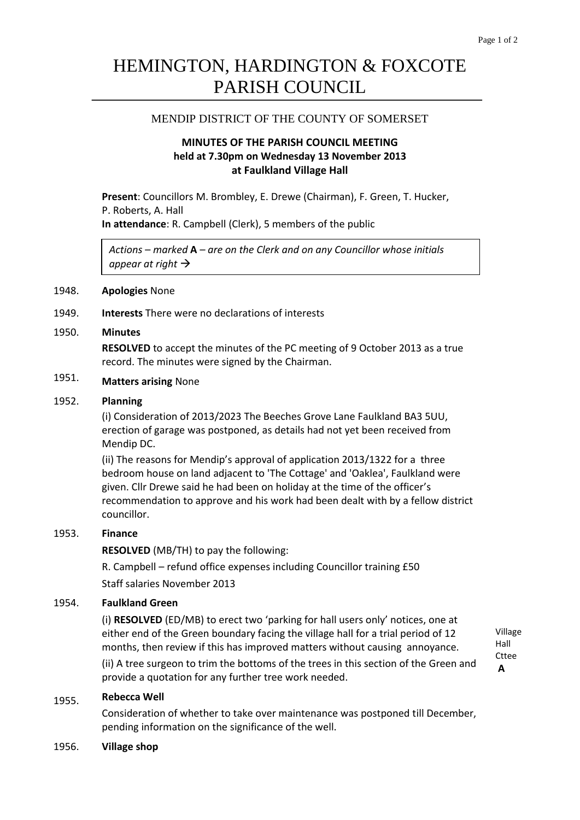# HEMINGTON, HARDINGTON & FOXCOTE PARISH COUNCIL

### MENDIP DISTRICT OF THE COUNTY OF SOMERSET

## **MINUTES OF THE PARISH COUNCIL MEETING held at 7.30pm on Wednesday 13 November 2013 at Faulkland Village Hall**

**Present**: Councillors M. Brombley, E. Drewe (Chairman), F. Green, T. Hucker, P. Roberts, A. Hall **In attendance**: R. Campbell (Clerk), 5 members of the public

*Actions – marked* **A** *– are on the Clerk and on any Councillor whose initials appear at right*

### 1948. **Apologies** None

1949. **Interests** There were no declarations of interests

#### 1950. **Minutes**

**RESOLVED** to accept the minutes of the PC meeting of 9 October 2013 as a true record. The minutes were signed by the Chairman.

#### 1951. **Matters arising** None

#### 1952. **Planning**

(i) Consideration of 2013/2023 The Beeches Grove Lane Faulkland BA3 5UU, erection of garage was postponed, as details had not yet been received from Mendip DC.

(ii) The reasons for Mendip's approval of application 2013/1322 for a three bedroom house on land adjacent to 'The Cottage' and 'Oaklea', Faulkland were given. Cllr Drewe said he had been on holiday at the time of the officer's recommendation to approve and his work had been dealt with by a fellow district councillor.

### 1953. **Finance**

**RESOLVED** (MB/TH) to pay the following:

R. Campbell – refund office expenses including Councillor training £50 Staff salaries November 2013

#### 1954. **Faulkland Green**

(i) **RESOLVED** (ED/MB) to erect two 'parking for hall users only' notices, one at either end of the Green boundary facing the village hall for a trial period of 12 months, then review if this has improved matters without causing annoyance.

Village Hall Cttee **A**

(ii) A tree surgeon to trim the bottoms of the trees in this section of the Green and provide a quotation for any further tree work needed.

#### 1955. **Rebecca Well**

Consideration of whether to take over maintenance was postponed till December, pending information on the significance of the well.

### 1956. **Village shop**